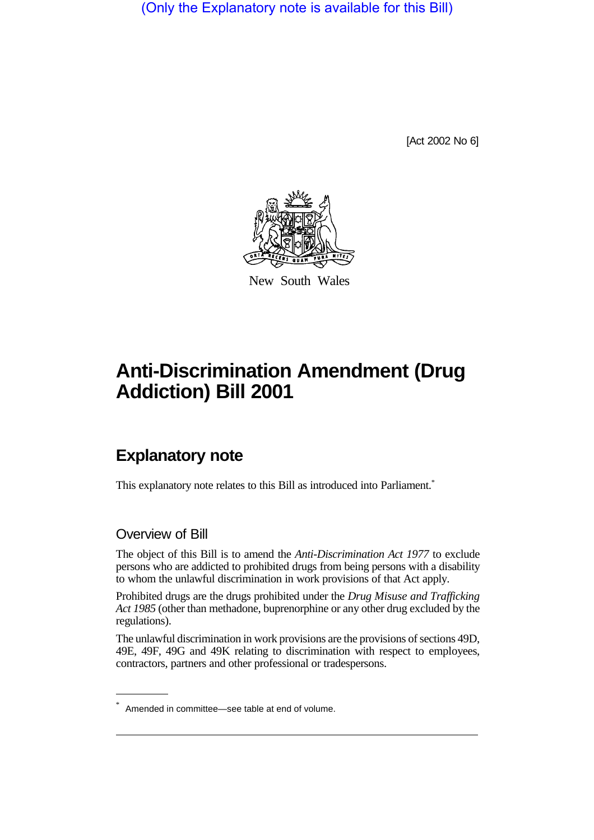(Only the Explanatory note is available for this Bill)

[Act 2002 No 6]



New South Wales

## **Anti-Discrimination Amendment (Drug Addiction) Bill 2001**

## **Explanatory note**

This explanatory note relates to this Bill as introduced into Parliament.<sup>\*</sup>

## Overview of Bill

The object of this Bill is to amend the *Anti-Discrimination Act 1977* to exclude persons who are addicted to prohibited drugs from being persons with a disability to whom the unlawful discrimination in work provisions of that Act apply.

Prohibited drugs are the drugs prohibited under the *Drug Misuse and Trafficking Act 1985* (other than methadone, buprenorphine or any other drug excluded by the regulations).

The unlawful discrimination in work provisions are the provisions of sections 49D, 49E, 49F, 49G and 49K relating to discrimination with respect to employees, contractors, partners and other professional or tradespersons.

Amended in committee—see table at end of volume.